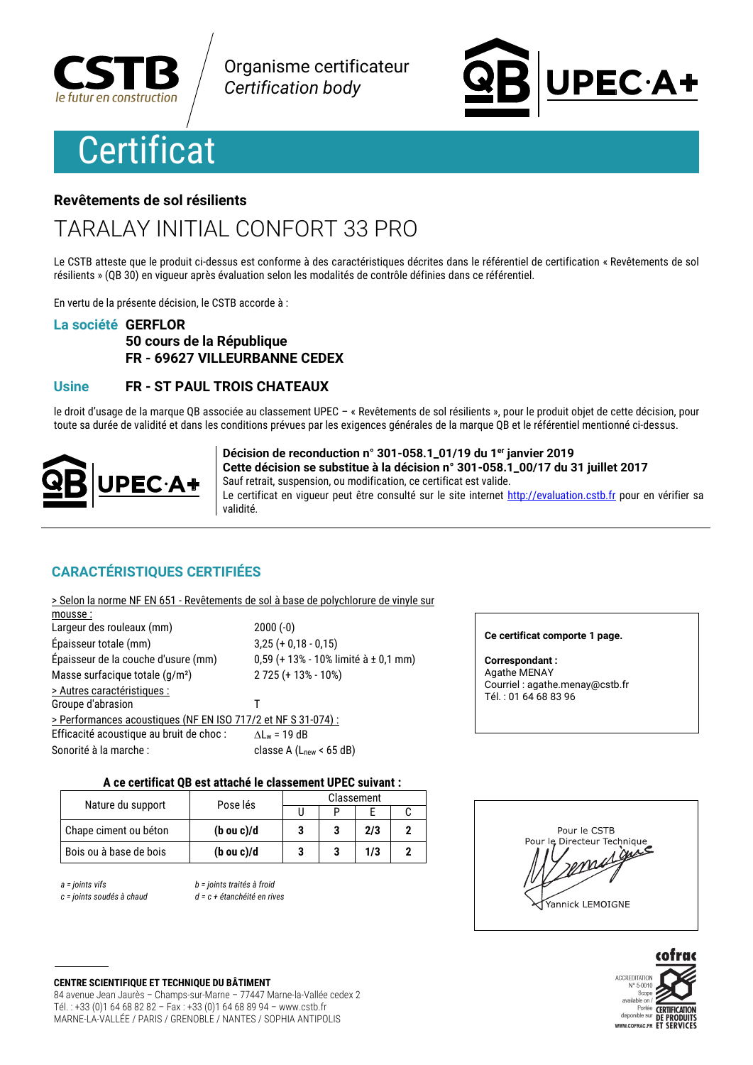

Organisme certificateur **Certification body** 

# **Certificat**

# PEC·A+

### Revêtements de sol résilients

## **TARALAY INITIAL CONFORT 33 PRO**

Le CSTB atteste que le produit ci-dessus est conforme à des caractéristiques décrites dans le référentiel de certification « Revêtements de sol résilients » (QB 30) en vigueur après évaluation selon les modalités de contrôle définies dans ce référentiel.

En vertu de la présente décision, le CSTB accorde à :

### La société GERFLOR

### 50 cours de la République FR - 69627 VILLEURBANNE CEDEX

### **Usine** FR - ST PAUL TROIS CHATEAUX

le droit d'usage de la marque OB associée au classement UPEC - « Revêtements de sol résilients », pour le produit objet de cette décision, pour toute sa durée de validité et dans les conditions prévues par les exigences générales de la marque QB et le référentiel mentionné ci-dessus.



Décision de reconduction n° 301-058.1\_01/19 du 1er janvier 2019 Cette décision se substitue à la décision n° 301-058.1 00/17 du 31 juillet 2017 Sauf retrait, suspension, ou modification, ce certificat est valide. Le certificat en vigueur peut être consulté sur le site internet http://evaluation.cstb.fr pour en vérifier sa **Atihiky** 

### **CARACTÉRISTIQUES CERTIFIÉES**

| > Selon la norme NF EN 651 - Revêtements de sol à base de polychlorure de vinyle sur |                                        |
|--------------------------------------------------------------------------------------|----------------------------------------|
| mousse:                                                                              |                                        |
| Largeur des rouleaux (mm)                                                            | $2000(-0)$                             |
| Épaisseur totale (mm)                                                                | $3,25 (+ 0,18 - 0,15)$                 |
| Épaisseur de la couche d'usure (mm)                                                  | $0,59$ (+ 13% - 10% limité à ± 0,1 mm) |
| Masse surfacique totale (g/m <sup>2</sup> )                                          | $2725 (+ 13\% - 10\%)$                 |
| > Autres caractéristiques :                                                          |                                        |
| Groupe d'abrasion                                                                    | Τ                                      |
| > Performances acoustiques (NF EN ISO 717/2 et NF S 31-074) :                        |                                        |
| Efficacité acoustique au bruit de choc :                                             | $\Delta L_w$ = 19 dB                   |
| Sonorité à la marche :                                                               | classe A $(Lnew < 65 dB)$              |
|                                                                                      |                                        |

### Ce certificat comporte 1 page.

**Correspondant:** Agathe MENAY Courriel : agathe.menay@cstb.fr Tél.: 01 64 68 83 96

### A ce certificat QB est attaché le classement UPEC suivant :

| Nature du support      | Pose lés              | Classement |  |     |  |
|------------------------|-----------------------|------------|--|-----|--|
|                        |                       |            |  |     |  |
| Chape ciment ou béton  | $(b \text{ ou } c)/d$ |            |  | 2/3 |  |
| Bois ou à base de bois | $(b \text{ ou } c)/d$ |            |  | 1/3 |  |

 $a = 0$  ioints vifs

c = joints soudés à chaud

b = joints traités à froid  $d = c + 4$ átanchéité en rives

Pour le CSTB Pour le Directeur Technique guie

Yannick LEMOIGNE



**CENTRE SCIENTIFIQUE ET TECHNIQUE DU BÂTIMENT** 

84 avenue Jean Jaurès - Champs-sur-Marne - 77447 Marne-la-Vallée cedex 2 Tél.: +33 (0)1 64 68 82 82 - Fax: +33 (0)1 64 68 89 94 - www.cstb.fr MARNE-LA-VALLÉE / PARIS / GRENOBLE / NANTES / SOPHIA ANTIPOLIS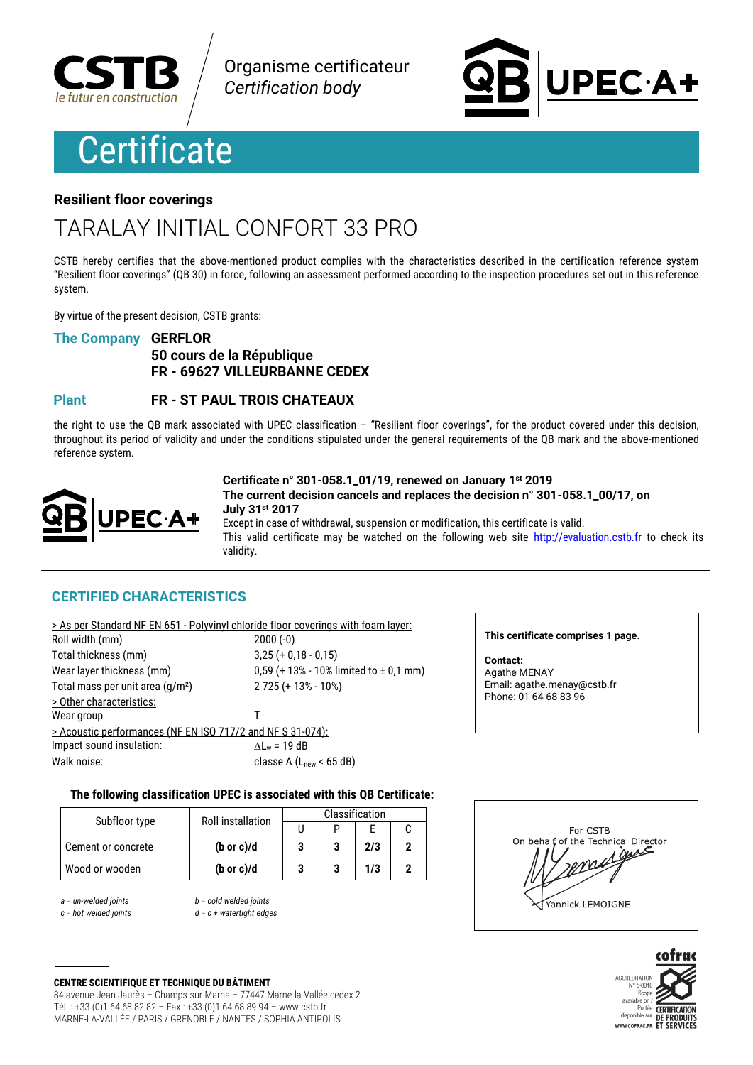

Organisme certificateur **Certification body** 

## **Certificate**

# **PEC·A+**

### **Resilient floor coverings**

### TARAI AY INITIAI CONFORT 33 PRO

CSTB hereby certifies that the above-mentioned product complies with the characteristics described in the certification reference system "Resilient floor coverings" (QB 30) in force, following an assessment performed according to the inspection procedures set out in this reference system.

By virtue of the present decision. CSTB grants:

### **The Company GERFLOR**

### 50 cours de la République FR - 69627 VILLEURBANNE CEDEX

### **Plant FR - ST PAUL TROIS CHATEAUX**

the right to use the QB mark associated with UPEC classification  $-$  "Resilient floor coverings", for the product covered under this decision, throughout its period of validity and under the conditions stipulated under the general requirements of the QB mark and the above-mentioned reference system.



Certificate n° 301-058.1\_01/19, renewed on January 1st 2019 The current decision cancels and replaces the decision n° 301-058.1 00/17, on July 31st 2017

Except in case of withdrawal, suspension or modification, this certificate is valid. This valid certificate may be watched on the following web site http://evaluation.cstb.fr to check its validity.

### **CERTIFIED CHARACTERISTICS**

|                                                            | > As per Standard NF EN 651 - Polyvinyl chloride floor coverings with foam layer: |
|------------------------------------------------------------|-----------------------------------------------------------------------------------|
| Roll width (mm)                                            | $2000(-0)$                                                                        |
| Total thickness (mm)                                       | $3,25 (+ 0,18 - 0,15)$                                                            |
| Wear layer thickness (mm)                                  | 0,59 (+ 13% - 10% limited to $\pm$ 0,1 mm)                                        |
| Total mass per unit area (g/m <sup>2</sup> )               | $2725 (+ 13\% - 10\%)$                                                            |
| > Other characteristics:                                   |                                                                                   |
| Wear group                                                 |                                                                                   |
| > Acoustic performances (NF EN ISO 717/2 and NF S 31-074): |                                                                                   |
| Impact sound insulation:                                   | $\Delta L_w = 19$ dB                                                              |
| Walk noise:                                                | classe A $(Lnew < 65 dB)$                                                         |

This certificate comprises 1 page.

Contact: Agathe MENAY Email: agathe.menay@cstb.fr Phone: 01 64 68 83 96

### The following classification UPEC is associated with this QB Certificate:

| Subfloor type<br><b>Roll installation</b> |                       | Classification |  |     |  |
|-------------------------------------------|-----------------------|----------------|--|-----|--|
|                                           |                       |                |  |     |  |
| Cement or concrete                        | $(b \text{ or } c)/d$ |                |  | 2/3 |  |
| Wood or wooden                            | $(b \text{ or } c)/d$ |                |  | 1/3 |  |

 $a =$  un-welded joints  $c = hot$  welded ioints  $b = cold$  welded joints  $d = c + watertiaht$  edges





**CENTRE SCIENTIFIQUE ET TECHNIQUE DU BÂTIMENT** 84 avenue Jean Jaurès - Champs-sur-Marne - 77447 Marne-la-Vallée cedex 2 Tél.: +33 (0)1 64 68 82 82 - Fax: +33 (0)1 64 68 89 94 - www.cstb.fr MARNE-LA-VALLÉE / PARIS / GRENOBLE / NANTES / SOPHIA ANTIPOLIS